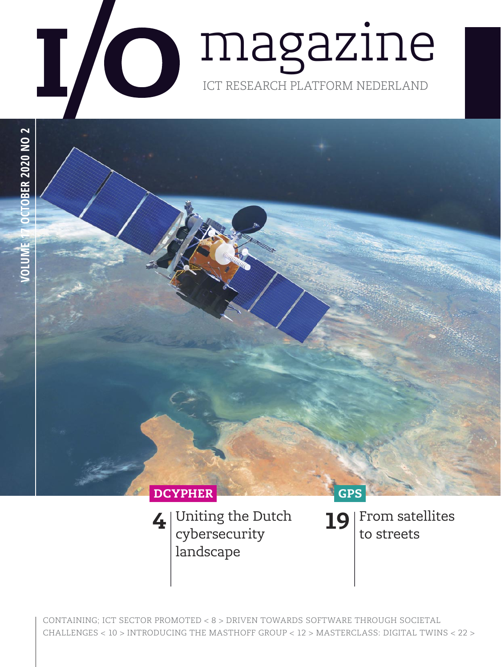





Uniting the Dutch cybersecurity landscape

From satellites to streets **19**

CONTAINING; ICT SECTOR PROMOTED < 8 > DRIVEN TOWARDS SOFTWARE THROUGH SOCIETAL CHALLENGES < 10 > INTRODUCING THE MASTHOFF GROUP < 12 > MASTERCLASS: DIGITAL TWINS < 22 >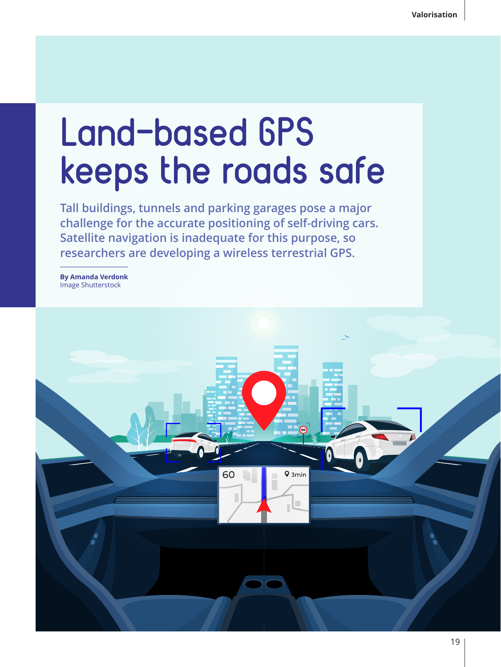## **Land-based GPS keeps the roads safe**

**Tall buildings, tunnels and parking garages pose a major challenge for the accurate positioning of self-driving cars. Satellite navigation is inadequate for this purpose, so researchers are developing a wireless terrestrial GPS.**

**By Amanda Verdonk** Image Shutterstock

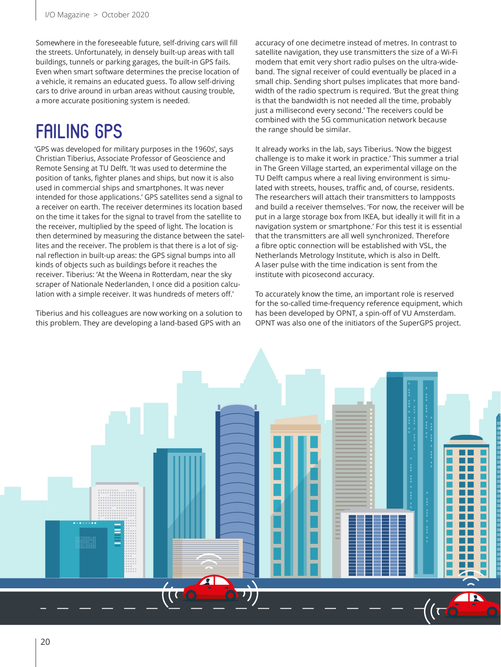Somewhere in the foreseeable future, self-driving cars will fill the streets. Unfortunately, in densely built-up areas with tall buildings, tunnels or parking garages, the built-in GPS fails. Even when smart software determines the precise location of a vehicle, it remains an educated guess. To allow self-driving cars to drive around in urban areas without causing trouble, a more accurate positioning system is needed.

## **FAILING GPS**

'GPS was developed for military purposes in the 1960s', says Christian Tiberius, Associate Professor of Geoscience and Remote Sensing at TU Delft. 'It was used to determine the position of tanks, fighter planes and ships, but now it is also used in commercial ships and smartphones. It was never intended for those applications.' GPS satellites send a signal to a receiver on earth. The receiver determines its location based on the time it takes for the signal to travel from the satellite to the receiver, multiplied by the speed of light. The location is then determined by measuring the distance between the satellites and the receiver. The problem is that there is a lot of signal reflection in built-up areas: the GPS signal bumps into all kinds of objects such as buildings before it reaches the receiver. Tiberius: 'At the Weena in Rotterdam, near the sky scraper of Nationale Nederlanden, I once did a position calculation with a simple receiver. It was hundreds of meters off.'

Tiberius and his colleagues are now working on a solution to this problem. They are developing a land-based GPS with an

accuracy of one decimetre instead of metres. In contrast to satellite navigation, they use transmitters the size of a Wi-Fi modem that emit very short radio pulses on the ultra-wideband. The signal receiver of could eventually be placed in a small chip. Sending short pulses implicates that more bandwidth of the radio spectrum is required. 'But the great thing is that the bandwidth is not needed all the time, probably just a millisecond every second.' The receivers could be combined with the 5G communication network because the range should be similar.

It already works in the lab, says Tiberius. 'Now the biggest challenge is to make it work in practice.' This summer a trial in The Green Village started, an experimental village on the TU Delft campus where a real living environment is simulated with streets, houses, traffic and, of course, residents. The researchers will attach their transmitters to lampposts and build a receiver themselves. 'For now, the receiver will be put in a large storage box from IKEA, but ideally it will fit in a navigation system or smartphone.' For this test it is essential that the transmitters are all well synchronized. Therefore a fibre optic connection will be established with VSL, the Netherlands Metrology Institute, which is also in Delft. A laser pulse with the time indication is sent from the institute with picosecond accuracy.

To accurately know the time, an important role is reserved for the so-called time-frequency reference equipment, which has been developed by OPNT, a spin-off of VU Amsterdam. OPNT was also one of the initiators of the SuperGPS project.